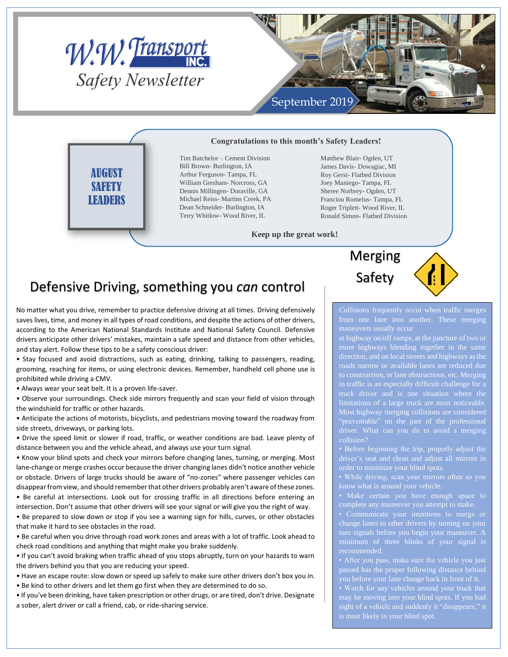



#### **Congratulations to this month's Safety Leaders!**

Tim Batchelor – Cement Division Bill Brown- Burlington, IA Arthur Ferguson- Tampa, FL William Gresham- Norcross, GA Dennis Millingen- Doraville, GA Michael Reiss- Martins Creek, PA Dean Schneider- Burlington, IA Terry Whitlow- Wood River, IL

Matthew Blair- Ogden, UT James Davis- Dowagiac, MI Roy Gerst- Flatbed Division Joey Maniego- Tampa, FL Sheree Norbrey- Ogden, UT Franciou Romelus- Tampa, FL Roger Triplett- Wood River, IL Ronald Simon- Flatbed Division

#### **Keep up the great work!**

### Defensive Driving, something you *can* control

No matter what you drive, remember to practice defensive driving at all times. Driving defensively saves lives, time, and money in all types of road conditions, and despite the actions of other drivers, according to the American National Standards Institute and National Safety Council. Defensive drivers anticipate other drivers' mistakes, maintain a safe speed and distance from other vehicles, and stay alert. Follow these tips to be a safety conscious driver:

• Stay focused and avoid distractions, such as eating, drinking, talking to passengers, reading, grooming, reaching for items, or using electronic devices. Remember, handheld cell phone use is prohibited while driving a CMV.

• Always wear your seat belt. It is a proven life-saver.

AUGUST **SAFETY LEADERS** 

• Observe your surroundings. Check side mirrors frequently and scan your field of vision through the windshield for traffic or other hazards.

• Anticipate the actions of motorists, bicyclists, and pedestrians moving toward the roadway from side streets, driveways, or parking lots.

• Drive the speed limit or slower if road, traffic, or weather conditions are bad. Leave plenty of distance between you and the vehicle ahead, and always use your turn signal.

• Know your blind spots and check your mirrors before changing lanes, turning, or merging. Most lane-change or merge crashes occur because the driver changing lanes didn't notice another vehicle or obstacle. Drivers of large trucks should be aware of "no-zones" where passenger vehicles can disappear from view, and should remember that other drivers probably aren't aware of these zones.

• Be careful at intersections. Look out for crossing traffic in all directions before entering an intersection. Don't assume that other drivers will see your signal or will give you the right of way. • Be prepared to slow down or stop if you see a warning sign for hills, curves, or other obstacles that make it hard to see obstacles in the road.

• Be careful when you drive through road work zones and areas with a lot of traffic. Look ahead to check road conditions and anything that might make you brake suddenly.

• If you can't avoid braking when traffic ahead of you stops abruptly, turn on your hazards to warn the drivers behind you that you are reducing your speed.

• Have an escape route: slow down or speed up safely to make sure other drivers don't box you in.

• Be kind to other drivers and let them go first when they are determined to do so.

• If you've been drinking, have taken prescription or other drugs, or are tired, don't drive. Designate a sober, alert driver or call a friend, cab, or ride-sharing service.

## Merging Safety



Collisions frequently occur when traffic merges

at highway on/off ramps, at the juncture of two or more highways blending together in the same direction, and on local streets and highways as the roads narrow or available lanes are reduced due to construction, or lane obstructions, etc. Merging in traffic is an especially difficult challenge for a limitations of a large truck are most noticeable. driver. What can you do to avoid a merging collision?

driver's seat and clean and adjust all mirrors in

complete any maneuver you attempt to make.

change lanes to other drivers by turning on your turn signals before you begin your maneuver. A minimum of three blinks of your signal is recommended.

you before your lane change back in front of it.

sight of a vehicle and suddenly it "disappears," it